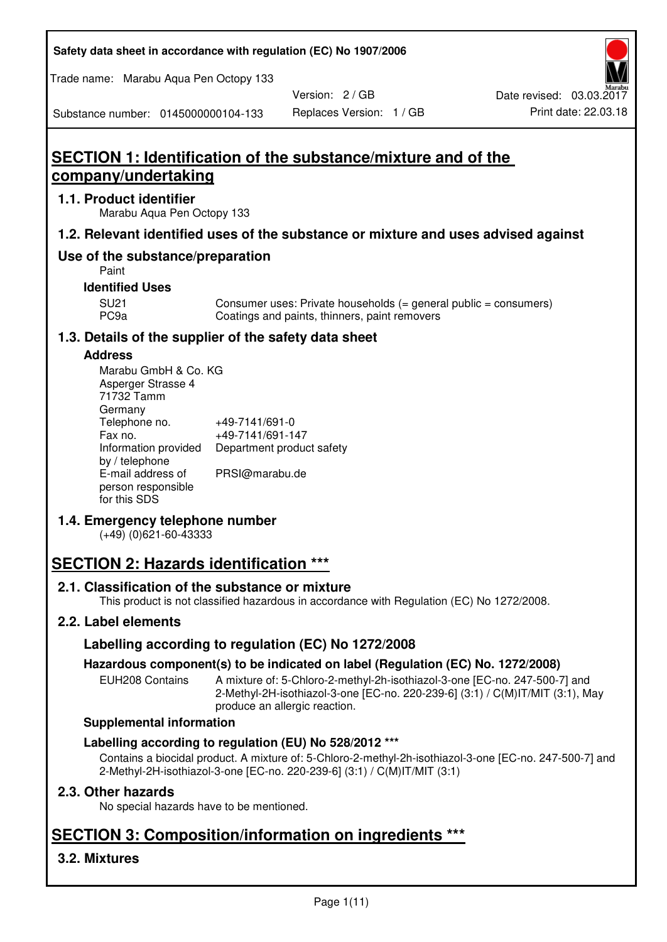**Safety data sheet in accordance with regulation (EC) No 1907/2006** 

Trade name: Marabu Aqua Pen Octopy 133

Version: 2 / GB

Substance number: 0145000000104-133

# **SECTION 1: Identification of the substance/mixture and of the company/undertaking**

## **1.1. Product identifier**

Marabu Aqua Pen Octopy 133

# **1.2. Relevant identified uses of the substance or mixture and uses advised against**

# **Use of the substance/preparation**

Paint

#### **Identified Uses**

SU21 Consumer uses: Private households (= general public = consumers)<br>PC9a Coatings and paints, thinners, paint removers Coatings and paints, thinners, paint removers

# **1.3. Details of the supplier of the safety data sheet**

## **Address**

| Marabu GmbH & Co. KG |                           |
|----------------------|---------------------------|
| Asperger Strasse 4   |                           |
| 71732 Tamm           |                           |
| Germany              |                           |
| Telephone no.        | +49-7141/691-0            |
| Fax no.              | +49-7141/691-147          |
| Information provided | Department product safety |
| by / telephone       |                           |
| E-mail address of    | PRSI@marabu.de            |
| person responsible   |                           |
| for this SDS         |                           |

# **1.4. Emergency telephone number**

(+49) (0)621-60-43333

# **SECTION 2: Hazards identification \*\*\***

# **2.1. Classification of the substance or mixture**

This product is not classified hazardous in accordance with Regulation (EC) No 1272/2008.

# **2.2. Label elements**

# **Labelling according to regulation (EC) No 1272/2008**

# **Hazardous component(s) to be indicated on label (Regulation (EC) No. 1272/2008)**

EUH208 Contains A mixture of: 5-Chloro-2-methyl-2h-isothiazol-3-one [EC-no. 247-500-7] and 2-Methyl-2H-isothiazol-3-one [EC-no. 220-239-6] (3:1) / C(M)IT/MIT (3:1), May produce an allergic reaction.

#### **Supplemental information**

# **Labelling according to regulation (EU) No 528/2012 \*\*\***

Contains a biocidal product. A mixture of: 5-Chloro-2-methyl-2h-isothiazol-3-one [EC-no. 247-500-7] and 2-Methyl-2H-isothiazol-3-one [EC-no. 220-239-6] (3:1) / C(M)IT/MIT (3:1)

# **2.3. Other hazards**

No special hazards have to be mentioned.

# **SECTION 3: Composition/information on ingredients \*\*\***

# **3.2. Mixtures**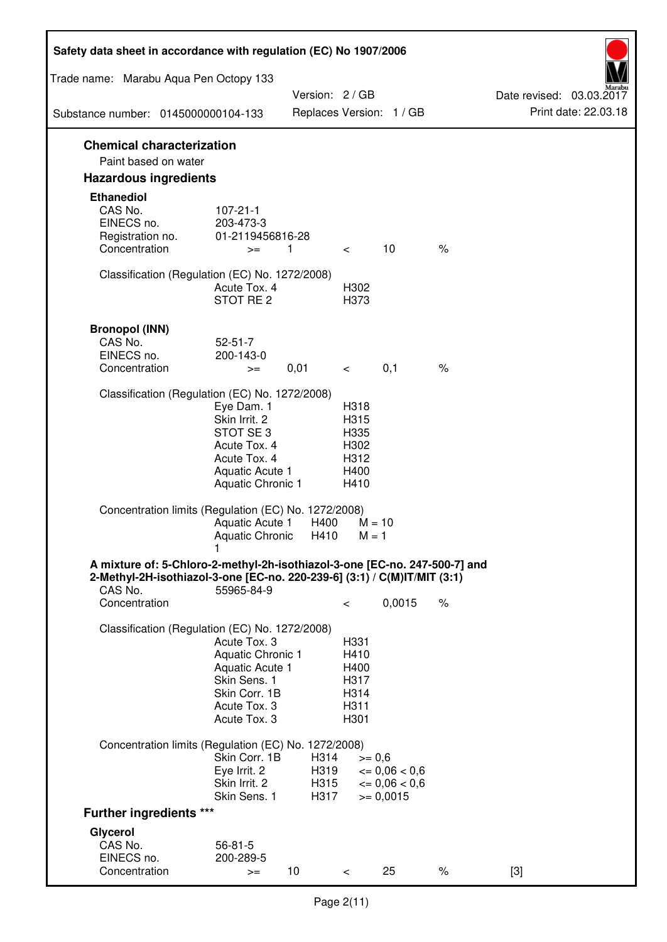| Safety data sheet in accordance with regulation (EC) No 1907/2006                                                                                                 |                                                                                                                       |                              |                                                      |                                                                  |      |                                                  |
|-------------------------------------------------------------------------------------------------------------------------------------------------------------------|-----------------------------------------------------------------------------------------------------------------------|------------------------------|------------------------------------------------------|------------------------------------------------------------------|------|--------------------------------------------------|
| Trade name: Marabu Aqua Pen Octopy 133                                                                                                                            |                                                                                                                       |                              |                                                      |                                                                  |      |                                                  |
| Substance number: 0145000000104-133                                                                                                                               |                                                                                                                       | Version: 2 / GB              |                                                      | Replaces Version: 1 / GB                                         |      | Date revised: 03.03.2017<br>Print date: 22.03.18 |
|                                                                                                                                                                   |                                                                                                                       |                              |                                                      |                                                                  |      |                                                  |
| <b>Chemical characterization</b><br>Paint based on water                                                                                                          |                                                                                                                       |                              |                                                      |                                                                  |      |                                                  |
| <b>Hazardous ingredients</b>                                                                                                                                      |                                                                                                                       |                              |                                                      |                                                                  |      |                                                  |
| <b>Ethanediol</b><br>CAS No.<br>EINECS no.<br>Registration no.<br>Concentration                                                                                   | $107 - 21 - 1$<br>203-473-3<br>01-2119456816-28<br>$>=$                                                               | 1                            | $\lt$                                                | 10                                                               | $\%$ |                                                  |
| Classification (Regulation (EC) No. 1272/2008)                                                                                                                    | Acute Tox. 4<br>STOT RE 2                                                                                             |                              | H302<br>H373                                         |                                                                  |      |                                                  |
| <b>Bronopol (INN)</b><br>CAS No.<br>EINECS no.<br>Concentration                                                                                                   | $52 - 51 - 7$<br>200-143-0<br>$>=$                                                                                    | 0,01                         | $\lt$ $\sim$                                         | 0,1                                                              | $\%$ |                                                  |
| Classification (Regulation (EC) No. 1272/2008)                                                                                                                    |                                                                                                                       |                              |                                                      |                                                                  |      |                                                  |
|                                                                                                                                                                   | Eye Dam. 1<br>Skin Irrit. 2<br>STOT SE3<br>Acute Tox. 4<br>Acute Tox. 4<br>Aquatic Acute 1<br>Aquatic Chronic 1       |                              | H318<br>H315<br>H335<br>H302<br>H312<br>H400<br>H410 |                                                                  |      |                                                  |
| Concentration limits (Regulation (EC) No. 1272/2008)                                                                                                              | Aquatic Acute 1<br>Aquatic Chronic $H410$ M = 1                                                                       | H400                         | $M = 10$                                             |                                                                  |      |                                                  |
| A mixture of: 5-Chloro-2-methyl-2h-isothiazol-3-one [EC-no. 247-500-7] and<br>2-Methyl-2H-isothiazol-3-one [EC-no. 220-239-6] (3:1) / C(M)IT/MIT (3:1)<br>CAS No. | 55965-84-9                                                                                                            |                              |                                                      |                                                                  |      |                                                  |
| Concentration                                                                                                                                                     |                                                                                                                       |                              | $\,<\,$                                              | 0,0015                                                           | $\%$ |                                                  |
| Classification (Regulation (EC) No. 1272/2008)                                                                                                                    | Acute Tox. 3<br>Aquatic Chronic 1<br>Aquatic Acute 1<br>Skin Sens. 1<br>Skin Corr. 1B<br>Acute Tox. 3<br>Acute Tox. 3 |                              | H331<br>H410<br>H400<br>H317<br>H314<br>H311<br>H301 |                                                                  |      |                                                  |
| Concentration limits (Regulation (EC) No. 1272/2008)                                                                                                              |                                                                                                                       |                              |                                                      |                                                                  |      |                                                  |
|                                                                                                                                                                   | Skin Corr. 1B<br>Eye Irrit. 2<br>Skin Irrit. 2<br>Skin Sens. 1                                                        | H314<br>H319<br>H315<br>H317 | $>= 0,6$                                             | $\epsilon = 0.06 < 0.6$<br>$\epsilon = 0.06 < 0.6$<br>$= 0,0015$ |      |                                                  |
| <b>Further ingredients ***</b>                                                                                                                                    |                                                                                                                       |                              |                                                      |                                                                  |      |                                                  |
| Glycerol<br>CAS No.<br>EINECS no.<br>Concentration                                                                                                                | $56 - 81 - 5$<br>200-289-5<br>$>=$                                                                                    | 10 <sup>°</sup>              | $\,<\,$                                              | 25                                                               | $\%$ | $[3]$                                            |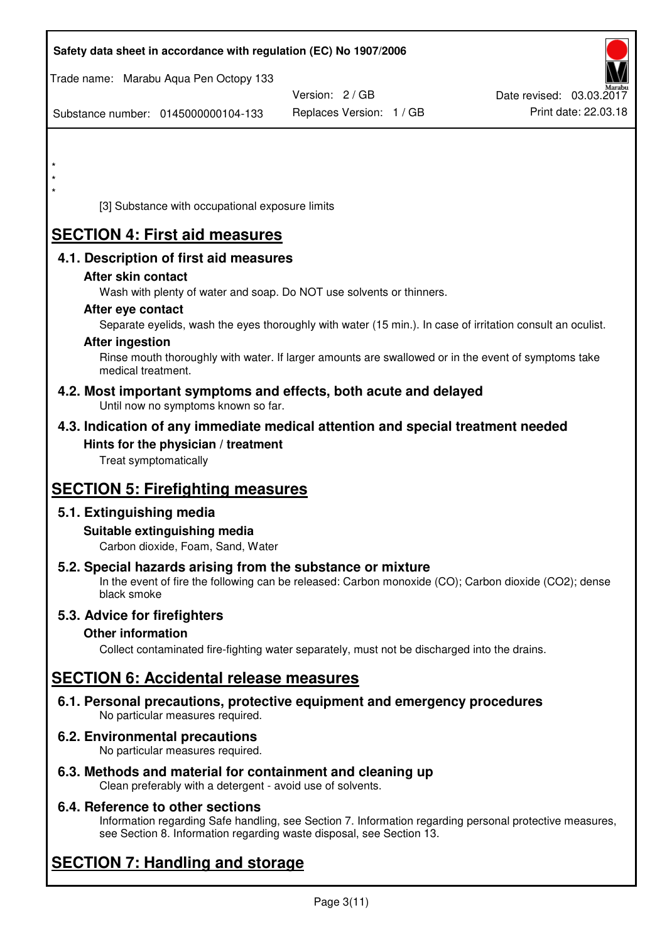| Safety data sheet in accordance with regulation (EC) No 1907/2006                                                                                                                  |                          |                          |
|------------------------------------------------------------------------------------------------------------------------------------------------------------------------------------|--------------------------|--------------------------|
| Trade name: Marabu Aqua Pen Octopy 133                                                                                                                                             | Version: 2 / GB          | Date revised: 03.03.2017 |
| Substance number: 0145000000104-133                                                                                                                                                | Replaces Version: 1 / GB | Print date: 22.03.18     |
|                                                                                                                                                                                    |                          |                          |
| $\star$                                                                                                                                                                            |                          |                          |
|                                                                                                                                                                                    |                          |                          |
| [3] Substance with occupational exposure limits                                                                                                                                    |                          |                          |
| <b>SECTION 4: First aid measures</b>                                                                                                                                               |                          |                          |
| 4.1. Description of first aid measures                                                                                                                                             |                          |                          |
| After skin contact                                                                                                                                                                 |                          |                          |
| Wash with plenty of water and soap. Do NOT use solvents or thinners.                                                                                                               |                          |                          |
| After eye contact<br>Separate eyelids, wash the eyes thoroughly with water (15 min.). In case of irritation consult an oculist.                                                    |                          |                          |
| <b>After ingestion</b>                                                                                                                                                             |                          |                          |
| Rinse mouth thoroughly with water. If larger amounts are swallowed or in the event of symptoms take<br>medical treatment.                                                          |                          |                          |
| 4.2. Most important symptoms and effects, both acute and delayed<br>Until now no symptoms known so far.                                                                            |                          |                          |
| 4.3. Indication of any immediate medical attention and special treatment needed                                                                                                    |                          |                          |
| Hints for the physician / treatment<br>Treat symptomatically                                                                                                                       |                          |                          |
| <b>SECTION 5: Firefighting measures</b>                                                                                                                                            |                          |                          |
| 5.1. Extinguishing media                                                                                                                                                           |                          |                          |
| Suitable extinguishing media<br>Carbon dioxide, Foam, Sand, Water                                                                                                                  |                          |                          |
| 5.2. Special hazards arising from the substance or mixture<br>In the event of fire the following can be released: Carbon monoxide (CO); Carbon dioxide (CO2); dense<br>black smoke |                          |                          |
| 5.3. Advice for firefighters                                                                                                                                                       |                          |                          |
| <b>Other information</b><br>Collect contaminated fire-fighting water separately, must not be discharged into the drains.                                                           |                          |                          |
| <b>SECTION 6: Accidental release measures</b>                                                                                                                                      |                          |                          |
| 6.1. Personal precautions, protective equipment and emergency procedures<br>No particular measures required.                                                                       |                          |                          |
| 6.2. Environmental precautions<br>No particular measures required.                                                                                                                 |                          |                          |
|                                                                                                                                                                                    |                          |                          |

**6.3. Methods and material for containment and cleaning up**  Clean preferably with a detergent - avoid use of solvents.

# **6.4. Reference to other sections**

Information regarding Safe handling, see Section 7. Information regarding personal protective measures, see Section 8. Information regarding waste disposal, see Section 13.

# **SECTION 7: Handling and storage**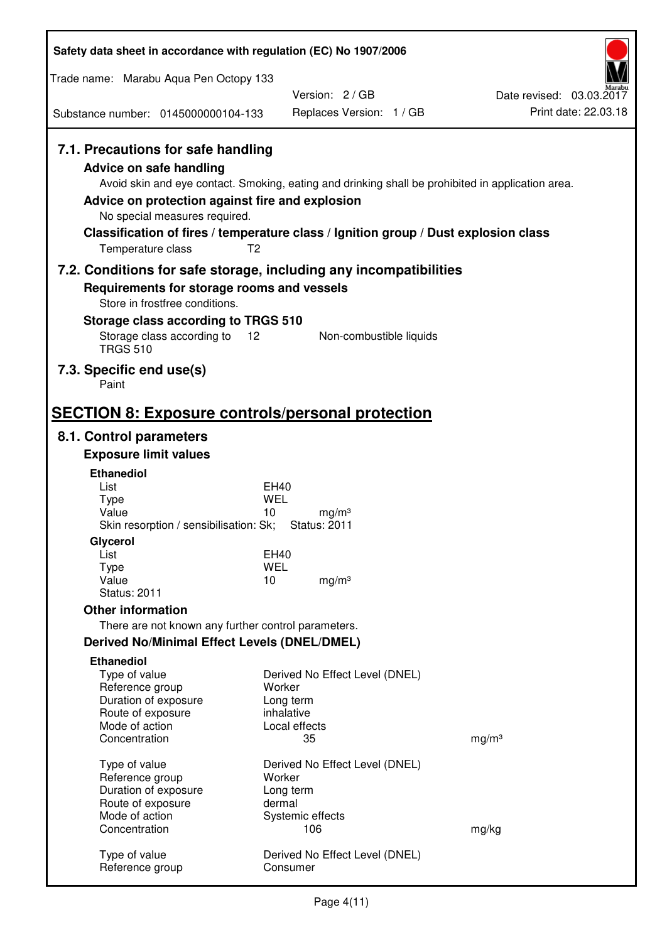| Safety data sheet in accordance with regulation (EC) No 1907/2006                                                                                                                        |                                                                                                                                                                                          |                                                  |
|------------------------------------------------------------------------------------------------------------------------------------------------------------------------------------------|------------------------------------------------------------------------------------------------------------------------------------------------------------------------------------------|--------------------------------------------------|
| Trade name: Marabu Aqua Pen Octopy 133                                                                                                                                                   |                                                                                                                                                                                          |                                                  |
|                                                                                                                                                                                          | Version: 2/GB                                                                                                                                                                            | Date revised: 03.03.2017<br>Print date: 22.03.18 |
| Substance number: 0145000000104-133                                                                                                                                                      | Replaces Version: 1 / GB                                                                                                                                                                 |                                                  |
| 7.1. Precautions for safe handling<br>Advice on safe handling<br>Advice on protection against fire and explosion<br>No special measures required.<br>T <sub>2</sub><br>Temperature class | Avoid skin and eye contact. Smoking, eating and drinking shall be prohibited in application area.<br>Classification of fires / temperature class / Ignition group / Dust explosion class |                                                  |
|                                                                                                                                                                                          | 7.2. Conditions for safe storage, including any incompatibilities                                                                                                                        |                                                  |
| Requirements for storage rooms and vessels<br>Store in frostfree conditions.<br>Storage class according to TRGS 510                                                                      |                                                                                                                                                                                          |                                                  |
| Storage class according to<br>12<br><b>TRGS 510</b>                                                                                                                                      | Non-combustible liquids                                                                                                                                                                  |                                                  |
| 7.3. Specific end use(s)<br>Paint                                                                                                                                                        |                                                                                                                                                                                          |                                                  |
| <b>SECTION 8: Exposure controls/personal protection</b>                                                                                                                                  |                                                                                                                                                                                          |                                                  |
| 8.1. Control parameters                                                                                                                                                                  |                                                                                                                                                                                          |                                                  |
| <b>Exposure limit values</b>                                                                                                                                                             |                                                                                                                                                                                          |                                                  |
| <b>Ethanediol</b>                                                                                                                                                                        |                                                                                                                                                                                          |                                                  |
| List<br><b>Type</b>                                                                                                                                                                      | EH40<br>WEL                                                                                                                                                                              |                                                  |
| Value<br>Skin resorption / sensibilisation: Sk;                                                                                                                                          | 10<br>mg/m <sup>3</sup><br><b>Status: 2011</b>                                                                                                                                           |                                                  |
| Glycerol                                                                                                                                                                                 |                                                                                                                                                                                          |                                                  |
| List<br><b>Type</b>                                                                                                                                                                      | <b>EH40</b><br><b>WEL</b>                                                                                                                                                                |                                                  |
| Value                                                                                                                                                                                    | 10<br>mg/m <sup>3</sup>                                                                                                                                                                  |                                                  |
| <b>Status: 2011</b>                                                                                                                                                                      |                                                                                                                                                                                          |                                                  |
| <b>Other information</b>                                                                                                                                                                 |                                                                                                                                                                                          |                                                  |
| There are not known any further control parameters.                                                                                                                                      |                                                                                                                                                                                          |                                                  |
| <b>Derived No/Minimal Effect Levels (DNEL/DMEL)</b>                                                                                                                                      |                                                                                                                                                                                          |                                                  |
| <b>Ethanediol</b><br>Type of value<br>Reference group<br>Duration of exposure<br>Route of exposure<br>Mode of action                                                                     | Derived No Effect Level (DNEL)<br>Worker<br>Long term<br>inhalative<br>Local effects                                                                                                     |                                                  |
| Concentration                                                                                                                                                                            | 35                                                                                                                                                                                       | mg/m <sup>3</sup>                                |
| Type of value<br>Reference group<br>Duration of exposure<br>Route of exposure                                                                                                            | Derived No Effect Level (DNEL)<br>Worker<br>Long term<br>dermal                                                                                                                          |                                                  |
| Mode of action<br>Concentration                                                                                                                                                          | Systemic effects<br>106                                                                                                                                                                  | mg/kg                                            |
| Type of value<br>Reference group                                                                                                                                                         | Derived No Effect Level (DNEL)<br>Consumer                                                                                                                                               |                                                  |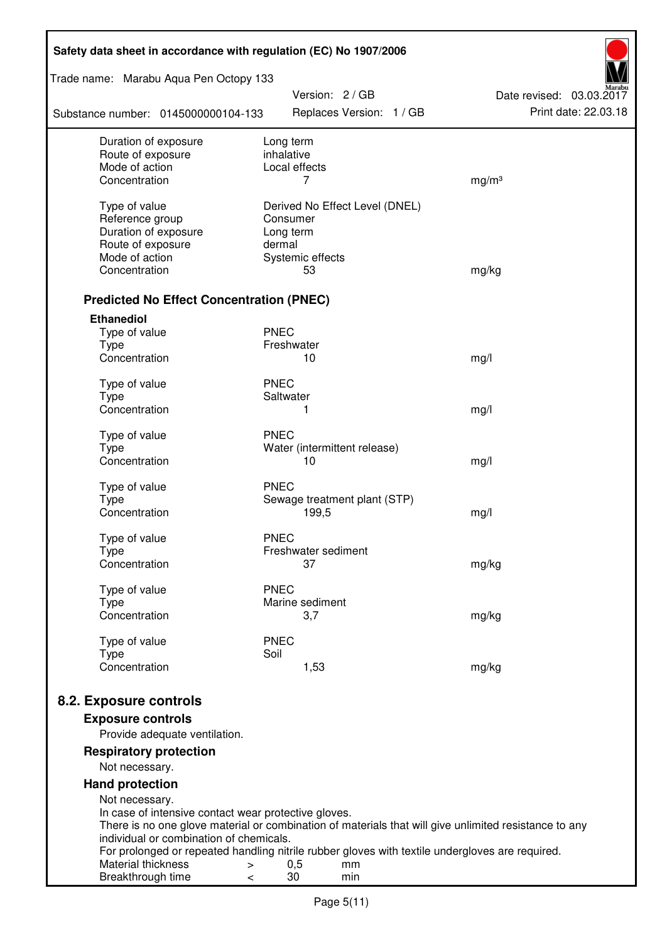| Safety data sheet in accordance with regulation (EC) No 1907/2006 |                                                                                                       |                                                  |  |  |  |
|-------------------------------------------------------------------|-------------------------------------------------------------------------------------------------------|--------------------------------------------------|--|--|--|
| Trade name: Marabu Aqua Pen Octopy 133                            | Version: 2 / GB                                                                                       |                                                  |  |  |  |
| Substance number: 0145000000104-133                               | Replaces Version: 1 / GB                                                                              | Date revised: 03.03.2017<br>Print date: 22.03.18 |  |  |  |
| Duration of exposure<br>Route of exposure                         | Long term<br>inhalative                                                                               |                                                  |  |  |  |
| Mode of action                                                    | Local effects                                                                                         |                                                  |  |  |  |
| Concentration                                                     | 7                                                                                                     | mg/m <sup>3</sup>                                |  |  |  |
| Type of value                                                     | Derived No Effect Level (DNEL)                                                                        |                                                  |  |  |  |
| Reference group                                                   | Consumer                                                                                              |                                                  |  |  |  |
| Duration of exposure                                              | Long term                                                                                             |                                                  |  |  |  |
| Route of exposure                                                 | dermal                                                                                                |                                                  |  |  |  |
| Mode of action                                                    | Systemic effects                                                                                      |                                                  |  |  |  |
| Concentration                                                     | 53                                                                                                    | mg/kg                                            |  |  |  |
| <b>Predicted No Effect Concentration (PNEC)</b>                   |                                                                                                       |                                                  |  |  |  |
| <b>Ethanediol</b>                                                 |                                                                                                       |                                                  |  |  |  |
| Type of value                                                     | <b>PNEC</b>                                                                                           |                                                  |  |  |  |
| <b>Type</b>                                                       | Freshwater                                                                                            |                                                  |  |  |  |
| Concentration                                                     | 10                                                                                                    | mg/l                                             |  |  |  |
| Type of value                                                     | <b>PNEC</b>                                                                                           |                                                  |  |  |  |
| <b>Type</b>                                                       | Saltwater                                                                                             |                                                  |  |  |  |
| Concentration                                                     | 1                                                                                                     | mg/l                                             |  |  |  |
| Type of value                                                     | <b>PNEC</b>                                                                                           |                                                  |  |  |  |
| <b>Type</b>                                                       | Water (intermittent release)                                                                          |                                                  |  |  |  |
| Concentration                                                     | 10                                                                                                    | mg/l                                             |  |  |  |
| Type of value                                                     | <b>PNEC</b>                                                                                           |                                                  |  |  |  |
| <b>Type</b>                                                       | Sewage treatment plant (STP)                                                                          |                                                  |  |  |  |
| Concentration                                                     | 199,5                                                                                                 | mg/l                                             |  |  |  |
| Type of value                                                     | <b>PNEC</b>                                                                                           |                                                  |  |  |  |
| Type                                                              | Freshwater sediment                                                                                   |                                                  |  |  |  |
| Concentration                                                     | 37                                                                                                    | mg/kg                                            |  |  |  |
|                                                                   | <b>PNEC</b>                                                                                           |                                                  |  |  |  |
| Type of value<br>Type                                             | Marine sediment                                                                                       |                                                  |  |  |  |
| Concentration                                                     | 3,7                                                                                                   | mg/kg                                            |  |  |  |
|                                                                   |                                                                                                       |                                                  |  |  |  |
| Type of value<br><b>Type</b>                                      | <b>PNEC</b><br>Soil                                                                                   |                                                  |  |  |  |
| Concentration                                                     | 1,53                                                                                                  | mg/kg                                            |  |  |  |
|                                                                   |                                                                                                       |                                                  |  |  |  |
| 8.2. Exposure controls                                            |                                                                                                       |                                                  |  |  |  |
| <b>Exposure controls</b><br>Provide adequate ventilation.         |                                                                                                       |                                                  |  |  |  |
| <b>Respiratory protection</b>                                     |                                                                                                       |                                                  |  |  |  |
| Not necessary.                                                    |                                                                                                       |                                                  |  |  |  |
| <b>Hand protection</b>                                            |                                                                                                       |                                                  |  |  |  |
| Not necessary.                                                    |                                                                                                       |                                                  |  |  |  |
| In case of intensive contact wear protective gloves.              |                                                                                                       |                                                  |  |  |  |
| individual or combination of chemicals.                           | There is no one glove material or combination of materials that will give unlimited resistance to any |                                                  |  |  |  |
|                                                                   | For prolonged or repeated handling nitrile rubber gloves with textile undergloves are required.       |                                                  |  |  |  |
| Material thickness<br>$\, > \,$                                   | 0,5<br>mm                                                                                             |                                                  |  |  |  |
| Breakthrough time<br>$\,<\,$                                      | 30<br>min                                                                                             |                                                  |  |  |  |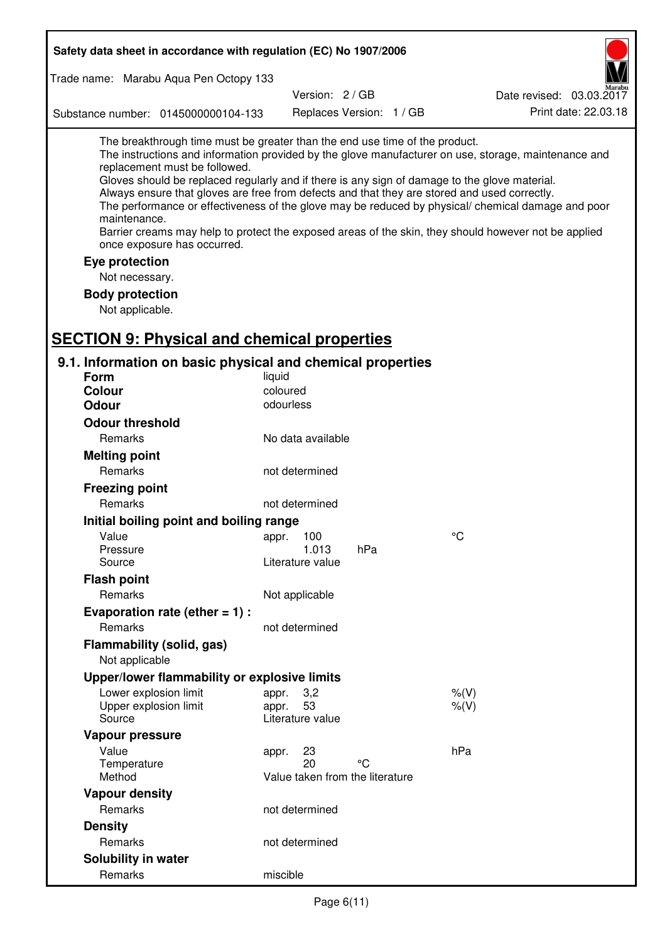| Safety data sheet in accordance with regulation (EC) No 1907/2006                                                                                                                                                                                                                                                                                            |                       |                                       |     |                                                                                                                                                                                                                                                                                                                    |
|--------------------------------------------------------------------------------------------------------------------------------------------------------------------------------------------------------------------------------------------------------------------------------------------------------------------------------------------------------------|-----------------------|---------------------------------------|-----|--------------------------------------------------------------------------------------------------------------------------------------------------------------------------------------------------------------------------------------------------------------------------------------------------------------------|
| Trade name: Marabu Aqua Pen Octopy 133                                                                                                                                                                                                                                                                                                                       |                       |                                       |     |                                                                                                                                                                                                                                                                                                                    |
|                                                                                                                                                                                                                                                                                                                                                              |                       | Version: 2/GB                         |     | Date revised: 03.03.2017                                                                                                                                                                                                                                                                                           |
| Substance number: 0145000000104-133                                                                                                                                                                                                                                                                                                                          |                       | Replaces Version: 1 / GB              |     | Print date: 22.03.18                                                                                                                                                                                                                                                                                               |
| The breakthrough time must be greater than the end use time of the product.<br>replacement must be followed.<br>Gloves should be replaced regularly and if there is any sign of damage to the glove material.<br>Always ensure that gloves are free from defects and that they are stored and used correctly.<br>maintenance.<br>once exposure has occurred. |                       |                                       |     | The instructions and information provided by the glove manufacturer on use, storage, maintenance and<br>The performance or effectiveness of the glove may be reduced by physical/ chemical damage and poor<br>Barrier creams may help to protect the exposed areas of the skin, they should however not be applied |
| Eye protection                                                                                                                                                                                                                                                                                                                                               |                       |                                       |     |                                                                                                                                                                                                                                                                                                                    |
| Not necessary.                                                                                                                                                                                                                                                                                                                                               |                       |                                       |     |                                                                                                                                                                                                                                                                                                                    |
| <b>Body protection</b>                                                                                                                                                                                                                                                                                                                                       |                       |                                       |     |                                                                                                                                                                                                                                                                                                                    |
| Not applicable.                                                                                                                                                                                                                                                                                                                                              |                       |                                       |     |                                                                                                                                                                                                                                                                                                                    |
|                                                                                                                                                                                                                                                                                                                                                              |                       |                                       |     |                                                                                                                                                                                                                                                                                                                    |
| <b>SECTION 9: Physical and chemical properties</b>                                                                                                                                                                                                                                                                                                           |                       |                                       |     |                                                                                                                                                                                                                                                                                                                    |
| 9.1. Information on basic physical and chemical properties                                                                                                                                                                                                                                                                                                   |                       |                                       |     |                                                                                                                                                                                                                                                                                                                    |
| <b>Form</b>                                                                                                                                                                                                                                                                                                                                                  | liquid                |                                       |     |                                                                                                                                                                                                                                                                                                                    |
| <b>Colour</b><br><b>Odour</b>                                                                                                                                                                                                                                                                                                                                | coloured<br>odourless |                                       |     |                                                                                                                                                                                                                                                                                                                    |
|                                                                                                                                                                                                                                                                                                                                                              |                       |                                       |     |                                                                                                                                                                                                                                                                                                                    |
| <b>Odour threshold</b>                                                                                                                                                                                                                                                                                                                                       |                       |                                       |     |                                                                                                                                                                                                                                                                                                                    |
| Remarks                                                                                                                                                                                                                                                                                                                                                      |                       | No data available                     |     |                                                                                                                                                                                                                                                                                                                    |
| <b>Melting point</b>                                                                                                                                                                                                                                                                                                                                         |                       |                                       |     |                                                                                                                                                                                                                                                                                                                    |
| Remarks                                                                                                                                                                                                                                                                                                                                                      | not determined        |                                       |     |                                                                                                                                                                                                                                                                                                                    |
| <b>Freezing point</b>                                                                                                                                                                                                                                                                                                                                        |                       |                                       |     |                                                                                                                                                                                                                                                                                                                    |
| Remarks                                                                                                                                                                                                                                                                                                                                                      | not determined        |                                       |     |                                                                                                                                                                                                                                                                                                                    |
| Initial boiling point and boiling range                                                                                                                                                                                                                                                                                                                      |                       |                                       |     |                                                                                                                                                                                                                                                                                                                    |
| Value                                                                                                                                                                                                                                                                                                                                                        | appr. 100             |                                       |     | $\rm ^{\circ}C$                                                                                                                                                                                                                                                                                                    |
| Pressure<br>Source                                                                                                                                                                                                                                                                                                                                           | Literature value      | 1.013                                 | hPa |                                                                                                                                                                                                                                                                                                                    |
| <b>Flash point</b>                                                                                                                                                                                                                                                                                                                                           |                       |                                       |     |                                                                                                                                                                                                                                                                                                                    |
| Remarks                                                                                                                                                                                                                                                                                                                                                      | Not applicable        |                                       |     |                                                                                                                                                                                                                                                                                                                    |
| Evaporation rate (ether $= 1$ ) :                                                                                                                                                                                                                                                                                                                            |                       |                                       |     |                                                                                                                                                                                                                                                                                                                    |
| Remarks                                                                                                                                                                                                                                                                                                                                                      | not determined        |                                       |     |                                                                                                                                                                                                                                                                                                                    |
| Flammability (solid, gas)                                                                                                                                                                                                                                                                                                                                    |                       |                                       |     |                                                                                                                                                                                                                                                                                                                    |
| Not applicable                                                                                                                                                                                                                                                                                                                                               |                       |                                       |     |                                                                                                                                                                                                                                                                                                                    |
| Upper/lower flammability or explosive limits                                                                                                                                                                                                                                                                                                                 |                       |                                       |     |                                                                                                                                                                                                                                                                                                                    |
| Lower explosion limit                                                                                                                                                                                                                                                                                                                                        | appr.                 | 3,2                                   |     | $%$ (V)                                                                                                                                                                                                                                                                                                            |
| Upper explosion limit                                                                                                                                                                                                                                                                                                                                        | appr.                 | 53                                    |     | $%$ (V)                                                                                                                                                                                                                                                                                                            |
| Source                                                                                                                                                                                                                                                                                                                                                       | Literature value      |                                       |     |                                                                                                                                                                                                                                                                                                                    |
| Vapour pressure                                                                                                                                                                                                                                                                                                                                              |                       |                                       |     |                                                                                                                                                                                                                                                                                                                    |
| Value                                                                                                                                                                                                                                                                                                                                                        | appr.                 | 23                                    |     | hPa                                                                                                                                                                                                                                                                                                                |
| Temperature<br>Method                                                                                                                                                                                                                                                                                                                                        |                       | 20<br>Value taken from the literature | °C  |                                                                                                                                                                                                                                                                                                                    |
| <b>Vapour density</b>                                                                                                                                                                                                                                                                                                                                        |                       |                                       |     |                                                                                                                                                                                                                                                                                                                    |
| Remarks                                                                                                                                                                                                                                                                                                                                                      | not determined        |                                       |     |                                                                                                                                                                                                                                                                                                                    |
| <b>Density</b>                                                                                                                                                                                                                                                                                                                                               |                       |                                       |     |                                                                                                                                                                                                                                                                                                                    |
| Remarks                                                                                                                                                                                                                                                                                                                                                      | not determined        |                                       |     |                                                                                                                                                                                                                                                                                                                    |
| Solubility in water                                                                                                                                                                                                                                                                                                                                          |                       |                                       |     |                                                                                                                                                                                                                                                                                                                    |
| Remarks                                                                                                                                                                                                                                                                                                                                                      | miscible              |                                       |     |                                                                                                                                                                                                                                                                                                                    |
|                                                                                                                                                                                                                                                                                                                                                              |                       |                                       |     |                                                                                                                                                                                                                                                                                                                    |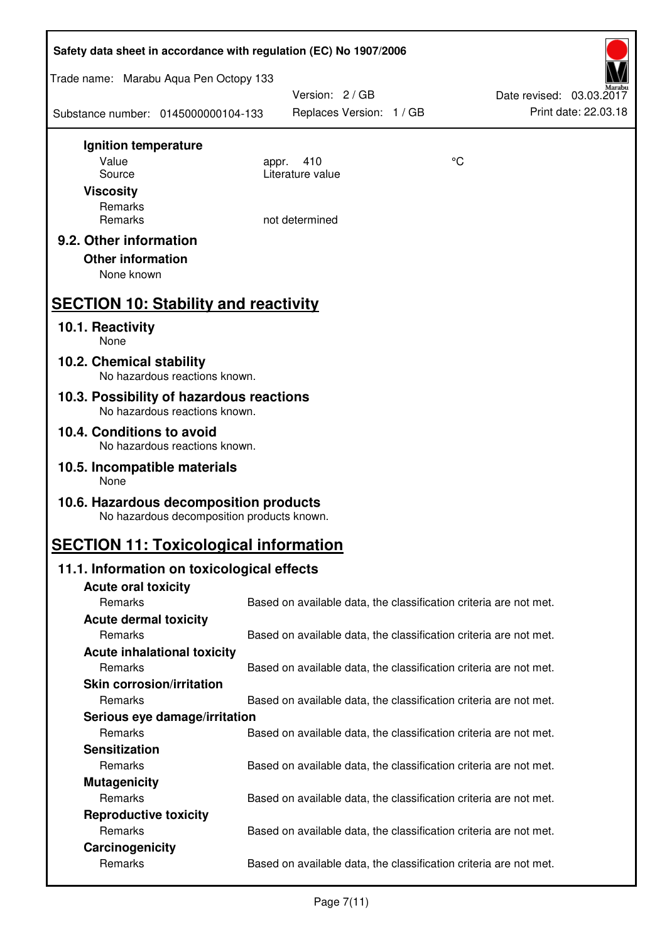| Safety data sheet in accordance with regulation (EC) No 1907/2006                    |                                                                   |    |                                                  |  |  |
|--------------------------------------------------------------------------------------|-------------------------------------------------------------------|----|--------------------------------------------------|--|--|
| Trade name: Marabu Aqua Pen Octopy 133                                               |                                                                   |    |                                                  |  |  |
| Substance number: 0145000000104-133                                                  | Version: 2 / GB<br>Replaces Version: 1 / GB                       |    | Date revised: 03.03.2017<br>Print date: 22.03.18 |  |  |
| Ignition temperature                                                                 |                                                                   |    |                                                  |  |  |
| Value                                                                                | 410<br>appr.<br>Literature value                                  | °C |                                                  |  |  |
| Source<br><b>Viscosity</b>                                                           |                                                                   |    |                                                  |  |  |
| Remarks                                                                              |                                                                   |    |                                                  |  |  |
| Remarks                                                                              | not determined                                                    |    |                                                  |  |  |
| 9.2. Other information<br><b>Other information</b><br>None known                     |                                                                   |    |                                                  |  |  |
| <b>SECTION 10: Stability and reactivity</b>                                          |                                                                   |    |                                                  |  |  |
| 10.1. Reactivity<br>None                                                             |                                                                   |    |                                                  |  |  |
| 10.2. Chemical stability<br>No hazardous reactions known.                            |                                                                   |    |                                                  |  |  |
| 10.3. Possibility of hazardous reactions<br>No hazardous reactions known.            |                                                                   |    |                                                  |  |  |
| 10.4. Conditions to avoid<br>No hazardous reactions known.                           |                                                                   |    |                                                  |  |  |
| 10.5. Incompatible materials<br>None                                                 |                                                                   |    |                                                  |  |  |
| 10.6. Hazardous decomposition products<br>No hazardous decomposition products known. |                                                                   |    |                                                  |  |  |
| <b>SECTION 11: Toxicological information</b>                                         |                                                                   |    |                                                  |  |  |
| 11.1. Information on toxicological effects                                           |                                                                   |    |                                                  |  |  |
| <b>Acute oral toxicity</b>                                                           |                                                                   |    |                                                  |  |  |
| Remarks                                                                              | Based on available data, the classification criteria are not met. |    |                                                  |  |  |
| <b>Acute dermal toxicity</b><br>Remarks                                              |                                                                   |    |                                                  |  |  |
| <b>Acute inhalational toxicity</b>                                                   | Based on available data, the classification criteria are not met. |    |                                                  |  |  |
| Remarks                                                                              | Based on available data, the classification criteria are not met. |    |                                                  |  |  |
| <b>Skin corrosion/irritation</b>                                                     |                                                                   |    |                                                  |  |  |
| Remarks                                                                              | Based on available data, the classification criteria are not met. |    |                                                  |  |  |
| Serious eye damage/irritation                                                        |                                                                   |    |                                                  |  |  |
| Remarks                                                                              | Based on available data, the classification criteria are not met. |    |                                                  |  |  |
| <b>Sensitization</b>                                                                 |                                                                   |    |                                                  |  |  |
| Remarks                                                                              | Based on available data, the classification criteria are not met. |    |                                                  |  |  |
| <b>Mutagenicity</b>                                                                  |                                                                   |    |                                                  |  |  |
| Remarks<br><b>Reproductive toxicity</b>                                              | Based on available data, the classification criteria are not met. |    |                                                  |  |  |
| Remarks                                                                              | Based on available data, the classification criteria are not met. |    |                                                  |  |  |
| Carcinogenicity                                                                      |                                                                   |    |                                                  |  |  |
| Remarks                                                                              | Based on available data, the classification criteria are not met. |    |                                                  |  |  |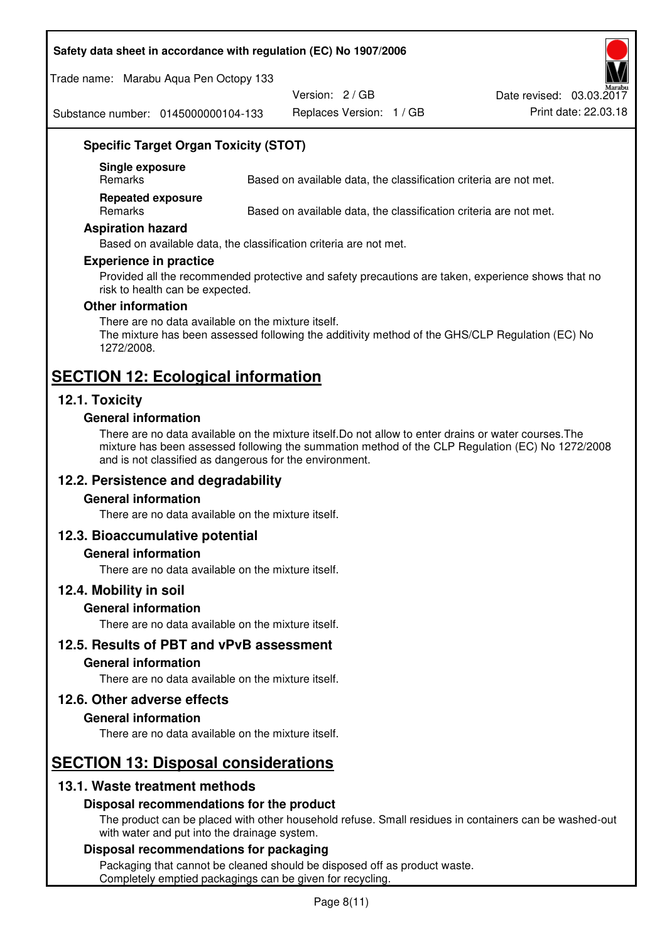#### **Safety data sheet in accordance with regulation (EC) No 1907/2006**

Trade name: Marabu Aqua Pen Octopy 133

Version: 2 / GB

Replaces Version: 1 / GB Print date: 22.03.18 Date revised: 03.03.2017

Substance number: 0145000000104-133

# **Specific Target Organ Toxicity (STOT)**

**Single exposure** 

Based on available data, the classification criteria are not met.

**Repeated exposure** 

Remarks Based on available data, the classification criteria are not met.

#### **Aspiration hazard**

Based on available data, the classification criteria are not met.

#### **Experience in practice**

Provided all the recommended protective and safety precautions are taken, experience shows that no risk to health can be expected.

#### **Other information**

There are no data available on the mixture itself. The mixture has been assessed following the additivity method of the GHS/CLP Regulation (EC) No 1272/2008.

# **SECTION 12: Ecological information**

# **12.1. Toxicity**

#### **General information**

There are no data available on the mixture itself.Do not allow to enter drains or water courses.The mixture has been assessed following the summation method of the CLP Regulation (EC) No 1272/2008 and is not classified as dangerous for the environment.

# **12.2. Persistence and degradability**

#### **General information**

There are no data available on the mixture itself.

#### **12.3. Bioaccumulative potential**

#### **General information**

There are no data available on the mixture itself.

#### **12.4. Mobility in soil**

#### **General information**

There are no data available on the mixture itself.

**12.5. Results of PBT and vPvB assessment** 

## **General information**

There are no data available on the mixture itself.

#### **12.6. Other adverse effects**

#### **General information**

There are no data available on the mixture itself.

# **SECTION 13: Disposal considerations**

# **13.1. Waste treatment methods**

#### **Disposal recommendations for the product**

The product can be placed with other household refuse. Small residues in containers can be washed-out with water and put into the drainage system.

#### **Disposal recommendations for packaging**

Packaging that cannot be cleaned should be disposed off as product waste. Completely emptied packagings can be given for recycling.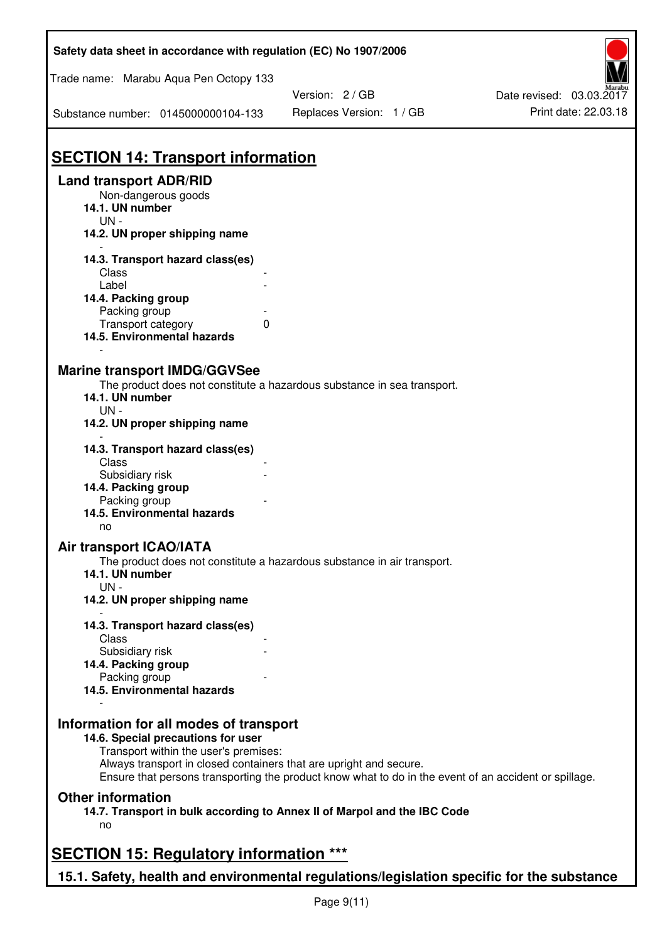| Safety data sheet in accordance with regulation (EC) No 1907/2006                                           |                                                                                                       |                          |
|-------------------------------------------------------------------------------------------------------------|-------------------------------------------------------------------------------------------------------|--------------------------|
| Trade name: Marabu Aqua Pen Octopy 133                                                                      | Version: 2 / GB                                                                                       | Date revised: 03.03.2017 |
| Substance number: 0145000000104-133                                                                         | Replaces Version: 1 / GB                                                                              | Print date: 22.03.18     |
| <b>SECTION 14: Transport information</b>                                                                    |                                                                                                       |                          |
| <b>Land transport ADR/RID</b><br>Non-dangerous goods<br>14.1. UN number<br>$UN -$                           |                                                                                                       |                          |
| 14.2. UN proper shipping name                                                                               |                                                                                                       |                          |
| 14.3. Transport hazard class(es)<br>Class<br>Label                                                          |                                                                                                       |                          |
| 14.4. Packing group<br>Packing group<br>Transport category<br>0<br>14.5. Environmental hazards              |                                                                                                       |                          |
| <b>Marine transport IMDG/GGVSee</b><br>14.1. UN number<br>$UN -$                                            | The product does not constitute a hazardous substance in sea transport.                               |                          |
| 14.2. UN proper shipping name<br>14.3. Transport hazard class(es)                                           |                                                                                                       |                          |
| Class<br>Subsidiary risk<br>14.4. Packing group<br>Packing group<br>14.5. Environmental hazards             |                                                                                                       |                          |
| no                                                                                                          |                                                                                                       |                          |
| Air transport ICAO/IATA<br>14.1. UN number<br>$UN -$                                                        | The product does not constitute a hazardous substance in air transport.                               |                          |
| 14.2. UN proper shipping name                                                                               |                                                                                                       |                          |
| 14.3. Transport hazard class(es)<br>Class<br>Subsidiary risk                                                |                                                                                                       |                          |
| 14.4. Packing group<br>Packing group                                                                        |                                                                                                       |                          |
| 14.5. Environmental hazards                                                                                 |                                                                                                       |                          |
| Information for all modes of transport<br>14.6. Special precautions for user                                |                                                                                                       |                          |
| Transport within the user's premises:<br>Always transport in closed containers that are upright and secure. | Ensure that persons transporting the product know what to do in the event of an accident or spillage. |                          |
| <b>Other information</b><br>14.7. Transport in bulk according to Annex II of Marpol and the IBC Code<br>no  |                                                                                                       |                          |
| <b>SECTION 15: Regulatory information ***</b>                                                               |                                                                                                       |                          |
| 15.1. Safety, health and environmental regulations/legislation specific for the substance                   |                                                                                                       |                          |

 $\mathbf{r}$ 

٦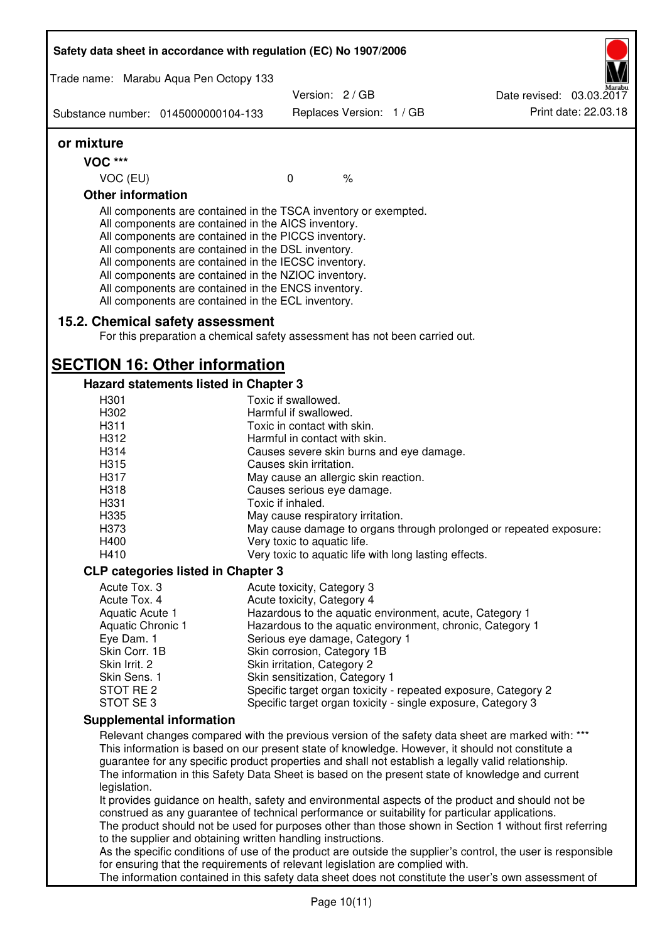| Safety data sheet in accordance with regulation (EC) No 1907/2006                                                                                                                                                                                                                                                                                                                                                                                                 |                                      |      |                                                       |                                                                                                                                                                                                                                                                                                             |
|-------------------------------------------------------------------------------------------------------------------------------------------------------------------------------------------------------------------------------------------------------------------------------------------------------------------------------------------------------------------------------------------------------------------------------------------------------------------|--------------------------------------|------|-------------------------------------------------------|-------------------------------------------------------------------------------------------------------------------------------------------------------------------------------------------------------------------------------------------------------------------------------------------------------------|
| Trade name: Marabu Aqua Pen Octopy 133                                                                                                                                                                                                                                                                                                                                                                                                                            |                                      |      |                                                       |                                                                                                                                                                                                                                                                                                             |
|                                                                                                                                                                                                                                                                                                                                                                                                                                                                   | Version: 2 / GB                      |      |                                                       | Date revised: 03.03.2017                                                                                                                                                                                                                                                                                    |
| Substance number: 0145000000104-133                                                                                                                                                                                                                                                                                                                                                                                                                               | Replaces Version: 1 / GB             |      |                                                       | Print date: 22.03.18                                                                                                                                                                                                                                                                                        |
| or mixture                                                                                                                                                                                                                                                                                                                                                                                                                                                        |                                      |      |                                                       |                                                                                                                                                                                                                                                                                                             |
| <b>VOC ***</b>                                                                                                                                                                                                                                                                                                                                                                                                                                                    |                                      |      |                                                       |                                                                                                                                                                                                                                                                                                             |
| VOC (EU)                                                                                                                                                                                                                                                                                                                                                                                                                                                          | $\mathbf 0$                          | $\%$ |                                                       |                                                                                                                                                                                                                                                                                                             |
| <b>Other information</b>                                                                                                                                                                                                                                                                                                                                                                                                                                          |                                      |      |                                                       |                                                                                                                                                                                                                                                                                                             |
| All components are contained in the TSCA inventory or exempted.<br>All components are contained in the AICS inventory.<br>All components are contained in the PICCS inventory.<br>All components are contained in the DSL inventory.<br>All components are contained in the IECSC inventory.<br>All components are contained in the NZIOC inventory.<br>All components are contained in the ENCS inventory.<br>All components are contained in the ECL inventory. |                                      |      |                                                       |                                                                                                                                                                                                                                                                                                             |
| 15.2. Chemical safety assessment<br>For this preparation a chemical safety assessment has not been carried out.                                                                                                                                                                                                                                                                                                                                                   |                                      |      |                                                       |                                                                                                                                                                                                                                                                                                             |
| <b>SECTION 16: Other information</b>                                                                                                                                                                                                                                                                                                                                                                                                                              |                                      |      |                                                       |                                                                                                                                                                                                                                                                                                             |
| Hazard statements listed in Chapter 3                                                                                                                                                                                                                                                                                                                                                                                                                             |                                      |      |                                                       |                                                                                                                                                                                                                                                                                                             |
| H301                                                                                                                                                                                                                                                                                                                                                                                                                                                              | Toxic if swallowed.                  |      |                                                       |                                                                                                                                                                                                                                                                                                             |
| H302                                                                                                                                                                                                                                                                                                                                                                                                                                                              | Harmful if swallowed.                |      |                                                       |                                                                                                                                                                                                                                                                                                             |
| H311                                                                                                                                                                                                                                                                                                                                                                                                                                                              | Toxic in contact with skin.          |      |                                                       |                                                                                                                                                                                                                                                                                                             |
| H312                                                                                                                                                                                                                                                                                                                                                                                                                                                              | Harmful in contact with skin.        |      |                                                       |                                                                                                                                                                                                                                                                                                             |
| H314                                                                                                                                                                                                                                                                                                                                                                                                                                                              |                                      |      | Causes severe skin burns and eye damage.              |                                                                                                                                                                                                                                                                                                             |
| H315                                                                                                                                                                                                                                                                                                                                                                                                                                                              | Causes skin irritation.              |      |                                                       |                                                                                                                                                                                                                                                                                                             |
| H317                                                                                                                                                                                                                                                                                                                                                                                                                                                              | May cause an allergic skin reaction. |      |                                                       |                                                                                                                                                                                                                                                                                                             |
| H318                                                                                                                                                                                                                                                                                                                                                                                                                                                              | Causes serious eye damage.           |      |                                                       |                                                                                                                                                                                                                                                                                                             |
| H331                                                                                                                                                                                                                                                                                                                                                                                                                                                              | Toxic if inhaled.                    |      |                                                       |                                                                                                                                                                                                                                                                                                             |
| H335                                                                                                                                                                                                                                                                                                                                                                                                                                                              | May cause respiratory irritation.    |      |                                                       |                                                                                                                                                                                                                                                                                                             |
| H373                                                                                                                                                                                                                                                                                                                                                                                                                                                              |                                      |      |                                                       | May cause damage to organs through prolonged or repeated exposure:                                                                                                                                                                                                                                          |
| H400                                                                                                                                                                                                                                                                                                                                                                                                                                                              | Very toxic to aquatic life.          |      |                                                       |                                                                                                                                                                                                                                                                                                             |
| H410                                                                                                                                                                                                                                                                                                                                                                                                                                                              |                                      |      | Very toxic to aquatic life with long lasting effects. |                                                                                                                                                                                                                                                                                                             |
| <b>CLP categories listed in Chapter 3</b>                                                                                                                                                                                                                                                                                                                                                                                                                         |                                      |      |                                                       |                                                                                                                                                                                                                                                                                                             |
| Acute Tox. 3                                                                                                                                                                                                                                                                                                                                                                                                                                                      | Acute toxicity, Category 3           |      |                                                       |                                                                                                                                                                                                                                                                                                             |
| Acute Tox. 4                                                                                                                                                                                                                                                                                                                                                                                                                                                      | Acute toxicity, Category 4           |      |                                                       |                                                                                                                                                                                                                                                                                                             |
| Aquatic Acute 1                                                                                                                                                                                                                                                                                                                                                                                                                                                   |                                      |      |                                                       | Hazardous to the aquatic environment, acute, Category 1                                                                                                                                                                                                                                                     |
| Aquatic Chronic 1<br>Eye Dam. 1                                                                                                                                                                                                                                                                                                                                                                                                                                   | Serious eye damage, Category 1       |      |                                                       | Hazardous to the aquatic environment, chronic, Category 1                                                                                                                                                                                                                                                   |
| Skin Corr. 1B                                                                                                                                                                                                                                                                                                                                                                                                                                                     | Skin corrosion, Category 1B          |      |                                                       |                                                                                                                                                                                                                                                                                                             |
| Skin Irrit. 2                                                                                                                                                                                                                                                                                                                                                                                                                                                     | Skin irritation, Category 2          |      |                                                       |                                                                                                                                                                                                                                                                                                             |
| Skin Sens. 1                                                                                                                                                                                                                                                                                                                                                                                                                                                      | Skin sensitization, Category 1       |      |                                                       |                                                                                                                                                                                                                                                                                                             |
| STOT RE 2                                                                                                                                                                                                                                                                                                                                                                                                                                                         |                                      |      |                                                       | Specific target organ toxicity - repeated exposure, Category 2                                                                                                                                                                                                                                              |
| STOT SE 3                                                                                                                                                                                                                                                                                                                                                                                                                                                         |                                      |      |                                                       | Specific target organ toxicity - single exposure, Category 3                                                                                                                                                                                                                                                |
| <b>Supplemental information</b>                                                                                                                                                                                                                                                                                                                                                                                                                                   |                                      |      |                                                       |                                                                                                                                                                                                                                                                                                             |
|                                                                                                                                                                                                                                                                                                                                                                                                                                                                   |                                      |      |                                                       | Relevant changes compared with the previous version of the safety data sheet are marked with: ***                                                                                                                                                                                                           |
| legislation.                                                                                                                                                                                                                                                                                                                                                                                                                                                      |                                      |      |                                                       | This information is based on our present state of knowledge. However, it should not constitute a<br>guarantee for any specific product properties and shall not establish a legally valid relationship.<br>The information in this Safety Data Sheet is based on the present state of knowledge and current |
| construed as any guarantee of technical performance or suitability for particular applications.                                                                                                                                                                                                                                                                                                                                                                   |                                      |      |                                                       | It provides guidance on health, safety and environmental aspects of the product and should not be<br>The product should not be used for purposes other than those shown in Section 1 without first referring                                                                                                |
| to the supplier and obtaining written handling instructions.                                                                                                                                                                                                                                                                                                                                                                                                      |                                      |      |                                                       |                                                                                                                                                                                                                                                                                                             |
|                                                                                                                                                                                                                                                                                                                                                                                                                                                                   |                                      |      |                                                       | As the specific conditions of use of the product are outside the supplier's control, the user is responsible                                                                                                                                                                                                |
| for ensuring that the requirements of relevant legislation are complied with.                                                                                                                                                                                                                                                                                                                                                                                     |                                      |      |                                                       | The information contained in this safety data sheet does not constitute the user's own assessment of                                                                                                                                                                                                        |